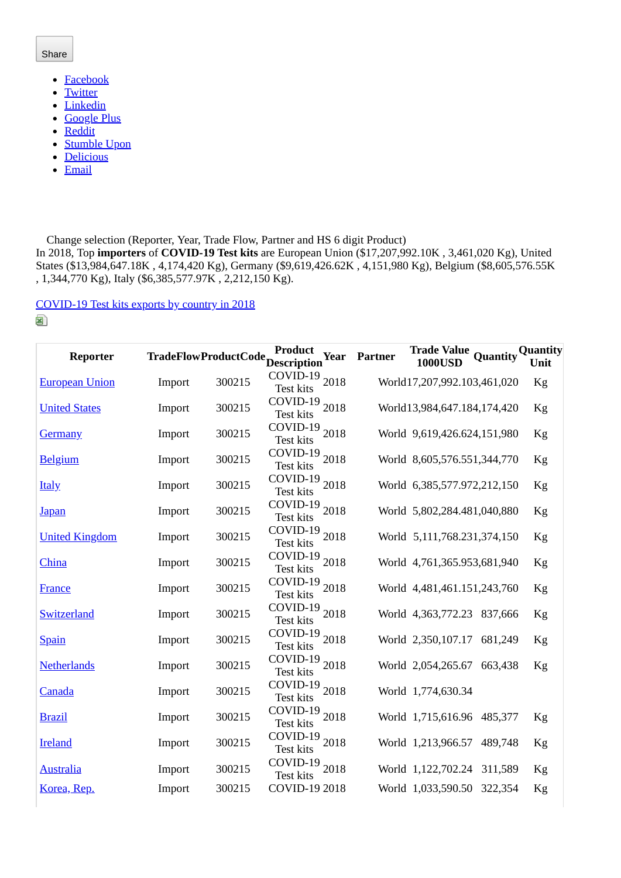## Share

- [Facebook](https://wits.worldbank.org/trade/comtrade/en/country/ALL/year/2018/tradeflow/Imports/partner/WLD/nomen/h5/product/300215#)
- [Twitter](https://wits.worldbank.org/trade/comtrade/en/country/ALL/year/2018/tradeflow/Imports/partner/WLD/nomen/h5/product/300215#)
- [Linkedin](https://wits.worldbank.org/trade/comtrade/en/country/ALL/year/2018/tradeflow/Imports/partner/WLD/nomen/h5/product/300215#)
- [Google Plus](https://wits.worldbank.org/trade/comtrade/en/country/ALL/year/2018/tradeflow/Imports/partner/WLD/nomen/h5/product/300215#)
- [Reddit](https://wits.worldbank.org/trade/comtrade/en/country/ALL/year/2018/tradeflow/Imports/partner/WLD/nomen/h5/product/300215#)
- [Stumble Upon](https://wits.worldbank.org/trade/comtrade/en/country/ALL/year/2018/tradeflow/Imports/partner/WLD/nomen/h5/product/300215#)  $\bullet$
- **[Delicious](https://wits.worldbank.org/trade/comtrade/en/country/ALL/year/2018/tradeflow/Imports/partner/WLD/nomen/h5/product/300215#)**  $\bullet$
- [Email](https://wits.worldbank.org/trade/comtrade/en/country/ALL/year/2018/tradeflow/Imports/partner/WLD/nomen/h5/product/300215#)  $\bullet$

Change selection (Reporter, Year, Trade Flow, Partner and HS 6 digit Product)

In 2018, Top **importers** of **COVID-19 Test kits** are European Union (\$17,207,992.10K , 3,461,020 Kg), United States (\$13,984,647.18K , 4,174,420 Kg), Germany (\$9,619,426.62K , 4,151,980 Kg), Belgium (\$8,605,576.55K , 1,344,770 Kg), Italy (\$6,385,577.97K , 2,212,150 Kg).

[COVID-19 Test kits exports by country in 2018](https://wits.worldbank.org/trade/comtrade/en/country/ALL/year/2018/tradeflow/Exports/partner/WLD/nomen/h5/product/300215)

⊠

| Reporter              |        |        | TradeFlowProductCode ProductOre<br><b>Year</b> | Partner | <b>Trade Value</b><br>Quantity<br><b>1000USD</b> | <b>Quantity</b><br>Unit |
|-----------------------|--------|--------|------------------------------------------------|---------|--------------------------------------------------|-------------------------|
| <b>European Union</b> | Import | 300215 | COVID-19 2018<br><b>Test kits</b>              |         | World17,207,992.103,461,020                      | Kg                      |
| <b>United States</b>  | Import | 300215 | COVID-19 2018<br><b>Test kits</b>              |         | World13,984,647.184,174,420                      | Kg                      |
| <b>Germany</b>        | Import | 300215 | COVID-19 2018<br><b>Test kits</b>              |         | World 9,619,426.624,151,980                      | Kg                      |
| <b>Belgium</b>        | Import | 300215 | COVID-19 2018<br>Test kits                     |         | World 8,605,576.551,344,770                      | Kg                      |
| <b>Italy</b>          | Import | 300215 | COVID-19<br>2018<br><b>Test kits</b>           |         | World 6,385,577.972,212,150                      | Kg                      |
| <u>Japan</u>          | Import | 300215 | COVID-19 2018<br><b>Test kits</b>              |         | World 5,802,284.481,040,880                      | Kg                      |
| <b>United Kingdom</b> | Import | 300215 | COVID-19<br>2018<br><b>Test kits</b>           |         | World 5,111,768.231,374,150                      | Kg                      |
| China                 | Import | 300215 | COVID-19 2018<br><b>Test kits</b>              |         | World 4,761,365.953,681,940                      | Kg                      |
| <b>France</b>         | Import | 300215 | COVID-19 2018<br><b>Test kits</b>              |         | World 4,481,461.151,243,760                      | Kg                      |
| Switzerland           | Import | 300215 | COVID-19 2018<br><b>Test kits</b>              |         | World 4,363,772.23 837,666                       | Kg                      |
| <b>Spain</b>          | Import | 300215 | COVID-19 2018<br><b>Test kits</b>              |         | World 2,350,107.17 681,249                       | Kg                      |
| <b>Netherlands</b>    | Import | 300215 | COVID-19 2018<br><b>Test kits</b>              |         | World 2,054,265.67<br>663,438                    | Kg                      |
| Canada                | Import | 300215 | COVID-19 2018<br>Test kits                     |         | World 1,774,630.34                               |                         |
| <b>Brazil</b>         | Import | 300215 | COVID-19 2018<br><b>Test kits</b>              |         | World 1,715,616.96 485,377                       | Kg                      |
| <b>Ireland</b>        | Import | 300215 | COVID-19<br>2018<br><b>Test kits</b>           |         | World 1,213,966.57<br>489,748                    | Kg                      |
| <b>Australia</b>      | Import | 300215 | $COVID-19$<br>2018<br><b>Test kits</b>         |         | World 1,122,702.24 311,589                       | Kg                      |
| Korea, Rep.           | Import | 300215 | COVID-19 2018                                  |         | World 1,033,590.50 322,354                       | Kg                      |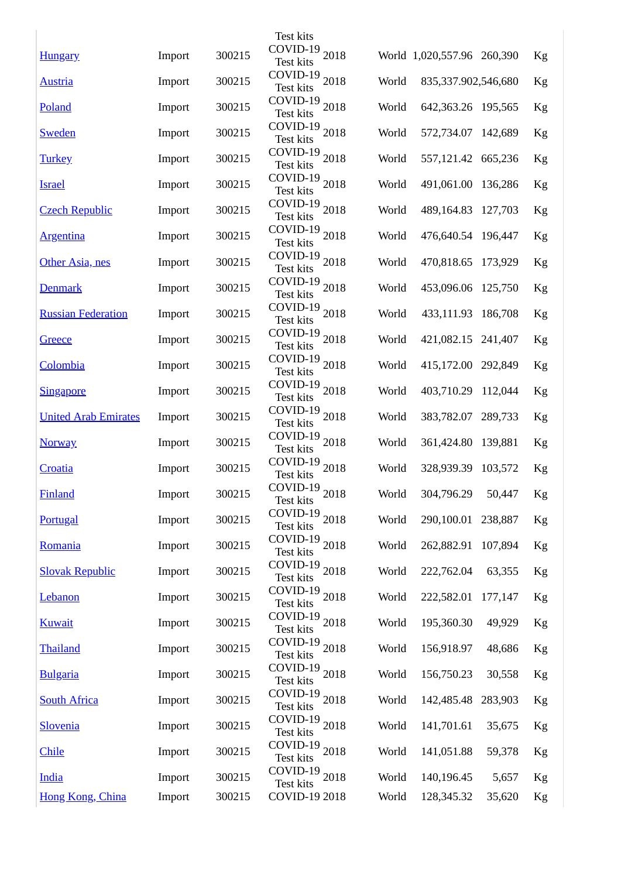|                             |        |        | Test kits                              |       |                            |         |    |
|-----------------------------|--------|--------|----------------------------------------|-------|----------------------------|---------|----|
| <b>Hungary</b>              | Import | 300215 | COVID-19 2018<br><b>Test kits</b>      |       | World 1,020,557.96 260,390 |         | Kg |
| <b>Austria</b>              | Import | 300215 | COVID-19 $_{2018}$<br>Test kits        | World | 835,337.902,546,680        |         | Kg |
| Poland                      | Import | 300215 | COVID-19 2018<br><b>Test kits</b>      | World | 642,363.26 195,565         |         | Kg |
| <b>Sweden</b>               | Import | 300215 | COVID-19 2018<br><b>Test kits</b>      | World | 572,734.07 142,689         |         | Kg |
| <b>Turkey</b>               | Import | 300215 | COVID-19 2018<br>Test kits             | World | 557,121.42 665,236         |         | Kg |
| <b>Israel</b>               | Import | 300215 | COVID-19 2018<br>Test kits             | World | 491,061.00 136,286         |         | Kg |
| <b>Czech Republic</b>       | Import | 300215 | COVID-19 2018<br>Test kits             | World | 489,164.83 127,703         |         | Kg |
| <b>Argentina</b>            | Import | 300215 | COVID-19 $_{2018}$<br>Test kits        | World | 476,640.54 196,447         |         | Kg |
| Other Asia, nes             | Import | 300215 | COVID-19 2018<br><b>Test kits</b>      | World | 470,818.65 173,929         |         | Kg |
| <b>Denmark</b>              | Import | 300215 | COVID-19 2018<br><b>Test kits</b>      | World | 453,096.06 125,750         |         | Kg |
| <b>Russian Federation</b>   | Import | 300215 | COVID-19 2018<br><b>Test kits</b>      | World | 433,111.93 186,708         |         | Kg |
| Greece                      | Import | 300215 | COVID-19 2018<br>Test kits             | World | 421,082.15 241,407         |         | Kg |
| Colombia                    | Import | 300215 | COVID-19 2018<br><b>Test kits</b>      | World | 415,172.00 292,849         |         | Kg |
| <b>Singapore</b>            | Import | 300215 | COVID-19 2018<br>Test kits             | World | 403,710.29 112,044         |         | Kg |
| <b>United Arab Emirates</b> | Import | 300215 | COVID-19 2018<br><b>Test kits</b>      | World | 383,782.07 289,733         |         | Kg |
| <b>Norway</b>               | Import | 300215 | COVID-19 2018<br><b>Test kits</b>      | World | 361,424.80 139,881         |         | Kg |
| Croatia                     | Import | 300215 | COVID-19 $_{2018}$<br>Test kits        | World | 328,939.39 103,572         |         | Kg |
| Finland                     | Import | 300215 | COVID-19 2018<br>Test kits             | World | 304,796.29                 | 50,447  | Kg |
| <b>Portugal</b>             | Import | 300215 | COVID-19 2018<br><b>Test kits</b>      | World | 290,100.01 238,887         |         | Kg |
| Romania                     | Import | 300215 | COVID-19 2018<br><b>Test kits</b>      | World | 262,882.91 107,894         |         | Kg |
| <b>Slovak Republic</b>      | Import | 300215 | COVID-19 2018<br><b>Test kits</b>      | World | 222,762.04                 | 63,355  | Kg |
| <b>Lebanon</b>              | Import | 300215 | COVID-19 2018<br><b>Test kits</b>      | World | 222,582.01 177,147         |         | Kg |
| <b>Kuwait</b>               | Import | 300215 | COVID-19 2018<br><b>Test kits</b>      | World | 195,360.30                 | 49,929  | Kg |
| Thailand                    | Import | 300215 | COVID-19 2018<br><b>Test kits</b>      | World | 156,918.97                 | 48,686  | Kg |
| <b>Bulgaria</b>             | Import | 300215 | COVID-19 2018<br>Test kits             | World | 156,750.23                 | 30,558  | Kg |
| <b>South Africa</b>         | Import | 300215 | COVID-19 $_{2018}$<br>Test kits        | World | 142,485.48                 | 283,903 | Kg |
| <b>Slovenia</b>             | Import | 300215 | COVID-19 $_{2018}$<br><b>Test kits</b> | World | 141,701.61                 | 35,675  | Kg |
| <b>Chile</b>                | Import | 300215 | COVID-19 2018<br><b>Test kits</b>      | World | 141,051.88                 | 59,378  | Kg |
| <b>India</b>                | Import | 300215 | COVID-19 2018<br><b>Test kits</b>      | World | 140,196.45                 | 5,657   | Kg |
| Hong Kong, China            | Import | 300215 | COVID-19 2018                          | World | 128,345.32                 | 35,620  | Kg |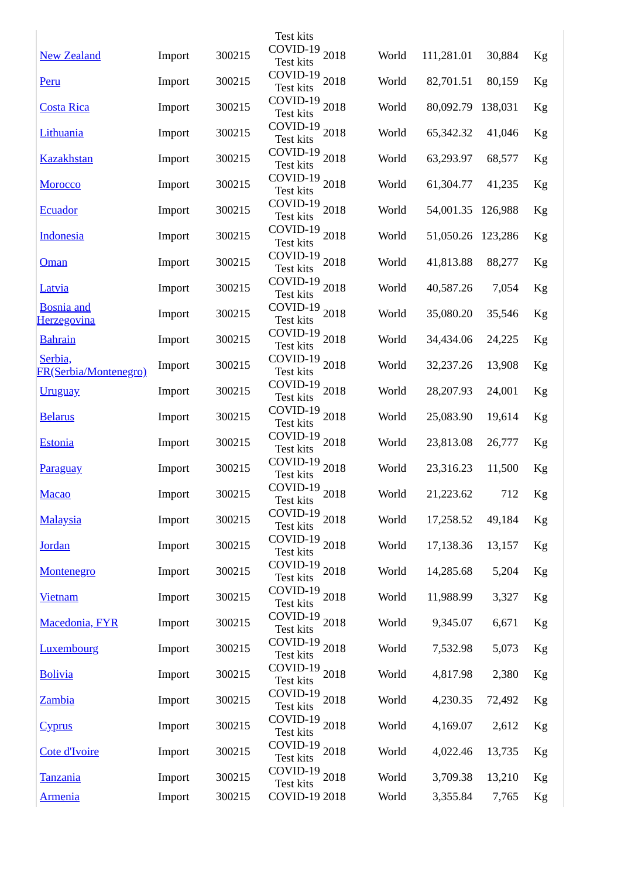|                                         |        |        | Test kits                              |       |            |         |          |
|-----------------------------------------|--------|--------|----------------------------------------|-------|------------|---------|----------|
| <b>New Zealand</b>                      | Import | 300215 | COVID-19 2018<br><b>Test kits</b>      | World | 111,281.01 | 30,884  | Kg       |
| Peru                                    | Import | 300215 | COVID-19 2018<br>Test kits             | World | 82,701.51  | 80,159  | Kg       |
| <b>Costa Rica</b>                       | Import | 300215 | COVID-19 2018<br>Test kits             | World | 80,092.79  | 138,031 | Kg       |
| Lithuania                               | Import | 300215 | COVID-19 2018<br><b>Test kits</b>      | World | 65,342.32  | 41,046  | Kg       |
| <b>Kazakhstan</b>                       | Import | 300215 | COVID-19 2018<br><b>Test kits</b>      | World | 63,293.97  | 68,577  | Kg       |
| <b>Morocco</b>                          | Import | 300215 | COVID-19 2018<br><b>Test kits</b>      | World | 61,304.77  | 41,235  | Kg       |
| <b>Ecuador</b>                          | Import | 300215 | COVID-19 2018<br><b>Test kits</b>      | World | 54,001.35  | 126,988 | Kg       |
| <b>Indonesia</b>                        | Import | 300215 | COVID-19 $_{2018}$<br>Test kits        | World | 51,050.26  | 123,286 | Kg       |
| Oman                                    | Import | 300215 | COVID-19 2018<br><b>Test kits</b>      | World | 41,813.88  | 88,277  | Kg       |
| <b>Latvia</b>                           | Import | 300215 | COVID-19 2018<br><b>Test kits</b>      | World | 40,587.26  | 7,054   | Kg       |
| <b>Bosnia</b> and<br><b>Herzegovina</b> | Import | 300215 | COVID-19 2018<br><b>Test kits</b>      | World | 35,080.20  | 35,546  | Kg       |
| <b>Bahrain</b>                          | Import | 300215 | COVID-19 2018<br>Test kits             | World | 34,434.06  | 24,225  | Kg       |
| Serbia,<br>FR(Serbia/Montenegro)        | Import | 300215 | COVID-19 2018<br><b>Test kits</b>      | World | 32,237.26  | 13,908  | Kg       |
| <b>Uruguay</b>                          | Import | 300215 | COVID-19 2018<br>Test kits             | World | 28,207.93  | 24,001  | Kg       |
| <b>Belarus</b>                          | Import | 300215 | COVID-19 2018<br><b>Test kits</b>      | World | 25,083.90  | 19,614  | Kg       |
| <b>Estonia</b>                          | Import | 300215 | COVID-19 2018<br><b>Test kits</b>      | World | 23,813.08  | 26,777  | Kg       |
| <b>Paraguay</b>                         | Import | 300215 | COVID-19 $_{2018}$<br>Test kits        | World | 23,316.23  | 11,500  | Kg       |
| <b>Macao</b>                            | Import | 300215 | COVID-19 2018<br>Test kits             | World | 21,223.62  | 712     | $\rm Kg$ |
| <b>Malaysia</b>                         | Import | 300215 | COVID-19 2018<br><b>Test kits</b>      | World | 17,258.52  | 49,184  | Kg       |
| <b>Jordan</b>                           | Import | 300215 | COVID-19 2018<br><b>Test kits</b>      | World | 17,138.36  | 13,157  | Kg       |
| <b>Montenegro</b>                       | Import | 300215 | COVID-19 2018<br><b>Test kits</b>      | World | 14,285.68  | 5,204   | Kg       |
| <u>Vietnam</u>                          | Import | 300215 | COVID-19 2018<br><b>Test kits</b>      | World | 11,988.99  | 3,327   | Kg       |
| Macedonia, FYR                          | Import | 300215 | COVID-19 2018<br><b>Test kits</b>      | World | 9,345.07   | 6,671   | Kg       |
| <b>Luxembourg</b>                       | Import | 300215 | COVID-19 2018<br><b>Test kits</b>      | World | 7,532.98   | 5,073   | Kg       |
| <b>Bolivia</b>                          | Import | 300215 | COVID-19 2018<br>Test kits             | World | 4,817.98   | 2,380   | Kg       |
| <b>Zambia</b>                           | Import | 300215 | COVID-19 2018<br><b>Test kits</b>      | World | 4,230.35   | 72,492  | Kg       |
| <u>Cyprus</u>                           | Import | 300215 | COVID-19 $_{2018}$<br><b>Test kits</b> | World | 4,169.07   | 2,612   | Kg       |
| Cote d'Ivoire                           | Import | 300215 | COVID-19 2018<br><b>Test kits</b>      | World | 4,022.46   | 13,735  | Kg       |
| <b>Tanzania</b>                         | Import | 300215 | COVID-19 2018<br><b>Test kits</b>      | World | 3,709.38   | 13,210  | Kg       |
| <u>Armenia</u>                          | Import | 300215 | COVID-19 2018                          | World | 3,355.84   | 7,765   | Kg       |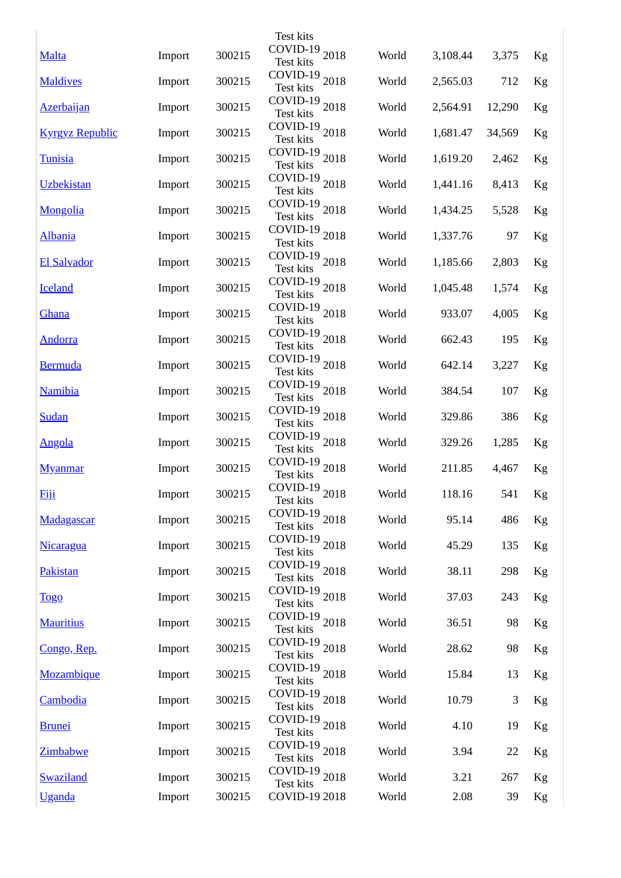|                        |        |        | <b>Test kits</b>                       |       |          |        |          |
|------------------------|--------|--------|----------------------------------------|-------|----------|--------|----------|
| <b>Malta</b>           | Import | 300215 | COVID-19 2018<br><b>Test kits</b>      | World | 3,108.44 | 3,375  | Kg       |
| <b>Maldives</b>        | Import | 300215 | COVID-19 2018<br>Test kits             | World | 2,565.03 | 712    | Kg       |
| <b>Azerbaijan</b>      | Import | 300215 | COVID-19 2018<br>Test kits             | World | 2,564.91 | 12,290 | Kg       |
| <b>Kyrgyz Republic</b> | Import | 300215 | COVID-19 2018<br><b>Test kits</b>      | World | 1,681.47 | 34,569 | Kg       |
| <b>Tunisia</b>         | Import | 300215 | COVID-19 2018<br>Test kits             | World | 1,619.20 | 2,462  | Kg       |
| <b>Uzbekistan</b>      | Import | 300215 | COVID-19 2018<br><b>Test kits</b>      | World | 1,441.16 | 8,413  | Kg       |
| <b>Mongolia</b>        | Import | 300215 | COVID-19 $_{2018}$<br>Test kits        | World | 1,434.25 | 5,528  | Kg       |
| <u>Albania</u>         | Import | 300215 | COVID-19 $_{2018}$<br>Test kits        | World | 1,337.76 | 97     | Kg       |
| <b>El Salvador</b>     | Import | 300215 | COVID-19 $_{2018}$<br>Test kits        | World | 1,185.66 | 2,803  | Kg       |
| <b>Iceland</b>         | Import | 300215 | COVID-19 2018<br><b>Test kits</b>      | World | 1,045.48 | 1,574  | Kg       |
| Ghana                  | Import | 300215 | COVID-19 $_{2018}$<br><b>Test kits</b> | World | 933.07   | 4,005  | Kg       |
| <b>Andorra</b>         | Import | 300215 | COVID-19 2018<br><b>Test kits</b>      | World | 662.43   | 195    | Kg       |
| <b>Bermuda</b>         | Import | 300215 | COVID-19 2018<br><b>Test kits</b>      | World | 642.14   | 3,227  | Kg       |
| <b>Namibia</b>         | Import | 300215 | COVID-19 2018<br>Test kits             | World | 384.54   | 107    | Kg       |
| <b>Sudan</b>           | Import | 300215 | COVID-19 2018<br><b>Test kits</b>      | World | 329.86   | 386    | Kg       |
| <u>Angola</u>          | Import | 300215 | COVID-19 2018<br><b>Test kits</b>      | World | 329.26   | 1,285  | Kg       |
| <b>Myanmar</b>         | Import | 300215 | COVID-19 $_{2018}$<br>Test kits        | World | 211.85   | 4,467  | Kg       |
| <b>Fiji</b>            | Import | 300215 | COVID-19 2018<br>Test kits             | World | 118.16   | 541    | $\rm Kg$ |
| Madagascar             | Import | 300215 | COVID-19 2018<br><b>Test kits</b>      | World | 95.14    | 486    | Kg       |
| <b>Nicaragua</b>       | Import | 300215 | COVID-19 2018<br><b>Test kits</b>      | World | 45.29    | 135    | Kg       |
| <b>Pakistan</b>        | Import | 300215 | COVID-19 2018<br><b>Test kits</b>      | World | 38.11    | 298    | Kg       |
| <u>Togo</u>            | Import | 300215 | COVID-19 2018<br>Test kits             | World | 37.03    | 243    | Kg       |
| <b>Mauritius</b>       | Import | 300215 | COVID-19 2018<br><b>Test kits</b>      | World | 36.51    | 98     | Kg       |
| Congo, Rep.            | Import | 300215 | COVID-19 2018<br><b>Test kits</b>      | World | 28.62    | 98     | Kg       |
| <b>Mozambique</b>      | Import | 300215 | COVID-19 2018<br><b>Test kits</b>      | World | 15.84    | 13     | Kg       |
| Cambodia               | Import | 300215 | COVID-19 $_{2018}$<br><b>Test kits</b> | World | 10.79    | 3      | Kg       |
| <b>Brunei</b>          | Import | 300215 | COVID-19 2018<br><b>Test kits</b>      | World | 4.10     | 19     | Kg       |
| <b>Zimbabwe</b>        | Import | 300215 | COVID-19 2018<br>Test kits             | World | 3.94     | 22     | Kg       |
| <b>Swaziland</b>       | Import | 300215 | COVID-19 2018<br>Test kits             | World | 3.21     | 267    | Kg       |
| <b>Uganda</b>          | Import | 300215 | COVID-19 2018                          | World | 2.08     | 39     | Kg       |